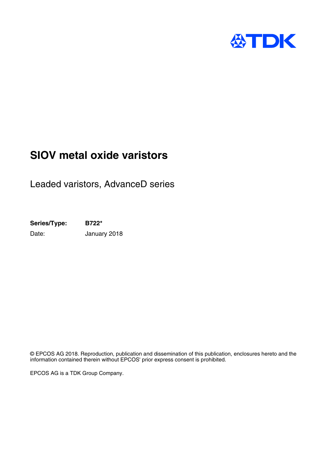

# **SIOV metal oxide varistors**

Leaded varistors, AdvanceD series

**Series/Type: B722\*** Date: **January 2018** 

© EPCOS AG 2018. Reproduction, publication and dissemination of this publication, enclosures hereto and the information contained therein without EPCOS' prior express consent is prohibited.

EPCOS AG is a TDK Group Company.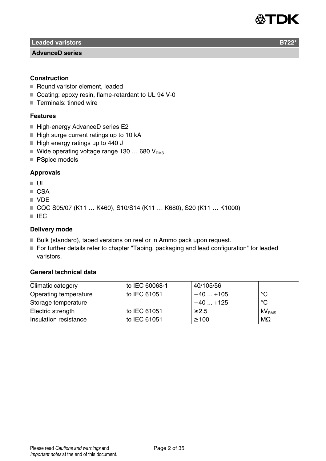

**Leaded varistors B722<sup>\*</sup> B722<sup>\*</sup>** 

#### **AdvanceD series**

#### **Construction**

- Round varistor element, leaded
- Coating: epoxy resin, flame-retardant to UL 94 V-0
- Terminals: tinned wire

#### **Features**

- High-energy AdvanceD series E2
- $\blacksquare$  High surge current ratings up to 10 kA
- High energy ratings up to 440 J
- Wide operating voltage range 130  $\ldots$  680  $V_{\text{PMS}}$
- PSpice models

#### **Approvals**

- $\blacksquare$  UL
- CSA
- **VDE**
- CQC S05/07 (K11 ... K460), S10/S14 (K11 ... K680), S20 (K11 ... K1000)
- **IEC**

#### **Delivery mode**

- Bulk (standard), taped versions on reel or in Ammo pack upon request.
- For further details refer to chapter "Taping, packaging and lead configuration" for leaded varistors.

#### **General technical data**

| Climatic category     | to IEC 60068-1 | 40/105/56  |                   |
|-----------------------|----------------|------------|-------------------|
| Operating temperature | to IEC 61051   | $-40+105$  | ℃                 |
| Storage temperature   |                | $-40+125$  | °C                |
| Electric strength     | to IEC 61051   | $\geq 2.5$ | kV <sub>RMS</sub> |
| Insulation resistance | to IEC 61051   | $\geq 100$ | $M\Omega$         |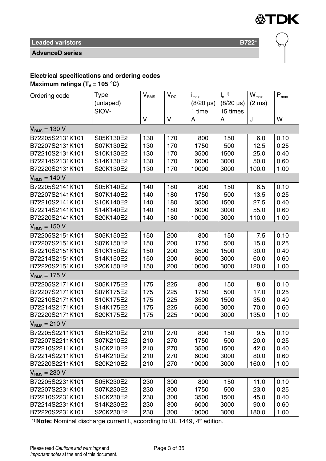

**AdvanceD series**

### **Electrical specifications and ordering codes**

**Maximum ratings (** $T_A = 105$  **°C)** 

| Ordering code     | Type      | $\mathbf{V}_\text{RMS}$ | $V_{DC}$ | $i_{\text{max}}$ | $\overline{I_n}$ <sup>1)</sup> | $\overline{\mathsf{W}}_{\mathsf{max}}$ | $\bar{\mathsf{P}}_{\mathsf{max}}$ |
|-------------------|-----------|-------------------------|----------|------------------|--------------------------------|----------------------------------------|-----------------------------------|
|                   | (untaped) |                         |          | $(8/20 \,\mu s)$ | $(8/20 \,\mu s)$               | $(2 \text{ ms})$                       |                                   |
|                   | SIOV-     |                         |          | 1 time           | 15 times                       |                                        |                                   |
|                   |           | V                       | v        | А                | Α                              | J                                      | W                                 |
| $V_{RMS} = 130 V$ |           |                         |          |                  |                                |                                        |                                   |
| B72205S2131K101   | S05K130E2 | 130                     | 170      | 800              | 150                            | 6.0                                    | 0.10                              |
| B72207S2131K101   | S07K130E2 | 130                     | 170      | 1750             | 500                            | 12.5                                   | 0.25                              |
| B72210S2131K101   | S10K130E2 | 130                     | 170      | 3500             | 1500                           | 25.0                                   | 0.40                              |
| B72214S2131K101   | S14K130E2 | 130                     | 170      | 6000             | 3000                           | 50.0                                   | 0.60                              |
| B72220S2131K101   | S20K130E2 | 130                     | 170      | 10000            | 3000                           | 100.0                                  | 1.00                              |
| $VRMS = 140 V$    |           |                         |          |                  |                                |                                        |                                   |
| B72205S2141K101   | S05K140E2 | 140                     | 180      | 800              | 150                            | 6.5                                    | 0.10                              |
| B72207S2141K101   | S07K140E2 | 140                     | 180      | 1750             | 500                            | 13.5                                   | 0.25                              |
| B72210S2141K101   | S10K140E2 | 140                     | 180      | 3500             | 1500                           | 27.5                                   | 0.40                              |
| B72214S2141K101   | S14K140E2 | 140                     | 180      | 6000             | 3000                           | 55.0                                   | 0.60                              |
| B72220S2141K101   | S20K140E2 | 140                     | 180      | 10000            | 3000                           | 110.0                                  | 1.00                              |
| $VRMS = 150 V$    |           |                         |          |                  |                                |                                        |                                   |
| B72205S2151K101   | S05K150E2 | 150                     | 200      | 800              | 150                            | 7.5                                    | 0.10                              |
| B72207S2151K101   | S07K150E2 | 150                     | 200      | 1750             | 500                            | 15.0                                   | 0.25                              |
| B72210S2151K101   | S10K150E2 | 150                     | 200      | 3500             | 1500                           | 30.0                                   | 0.40                              |
| B72214S2151K101   | S14K150E2 | 150                     | 200      | 6000             | 3000                           | 60.0                                   | 0.60                              |
| B72220S2151K101   | S20K150E2 | 150                     | 200      | 10000            | 3000                           | 120.0                                  | 1.00                              |
| $VRMS = 175 V$    |           |                         |          |                  |                                |                                        |                                   |
| B72205S2171K101   | S05K175E2 | 175                     | 225      | 800              | 150                            | 8.0                                    | 0.10                              |
| B72207S2171K101   | S07K175E2 | 175                     | 225      | 1750             | 500                            | 17.0                                   | 0.25                              |
| B72210S2171K101   | S10K175E2 | 175                     | 225      | 3500             | 1500                           | 35.0                                   | 0.40                              |
| B72214S2171K101   | S14K175E2 | 175                     | 225      | 6000             | 3000                           | 70.0                                   | 0.60                              |
| B72220S2171K101   | S20K175E2 | 175                     | 225      | 10000            | 3000                           | 135.0                                  | 1.00                              |
| $VRMS = 210 V$    |           |                         |          |                  |                                |                                        |                                   |
| B72205S2211K101   | S05K210E2 | 210                     | 270      | 800              | 150                            | 9.5                                    | 0.10                              |
| B72207S2211K101   | S07K210E2 | 210                     | 270      | 1750             | 500                            | 20.0                                   | 0.25                              |
| B72210S2211K101   | S10K210E2 | 210                     | 270      | 3500             | 1500                           | 42.0                                   | 0.40                              |
| B72214S2211K101   | S14K210E2 | 210                     | 270      | 6000             | 3000                           | 80.0                                   | 0.60                              |
| B72220S2211K101   | S20K210E2 | 210                     | 270      | 10000            | 3000                           | 160.0                                  | 1.00                              |
| $VRMS = 230 V$    |           |                         |          |                  |                                |                                        |                                   |
| B72205S2231K101   | S05K230E2 | 230                     | 300      | 800              | 150                            | 11.0                                   | 0.10                              |
| B72207S2231K101   | S07K230E2 | 230                     | 300      | 1750             | 500                            | 23.0                                   | 0.25                              |
| B72210S2231K101   | S10K230E2 | 230                     | 300      | 3500             | 1500                           | 45.0                                   | 0.40                              |
| B72214S2231K101   | S14K230E2 | 230                     | 300      | 6000             | 3000                           | 90.0                                   | 0.60                              |
| B72220S2231K101   | S20K230E2 | 230                     | 300      | 10000            | 3000                           | 180.0                                  | 1.00                              |

<sup>1)</sup> **Note:** Nominal discharge current  $I_n$  according to UL 1449,  $4<sup>th</sup>$  edition.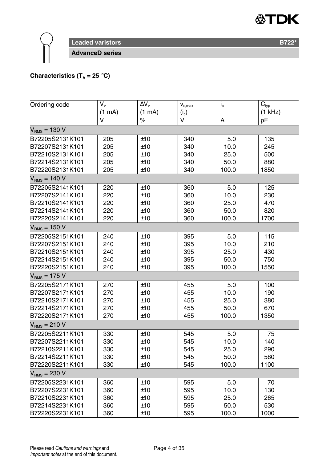

### **Characteristics (T<sub>A</sub> = 25 °C)**

| Ordering code     | V.     | $\Delta V_v$ | $\mathbf{V}_{\mathrm{c,max}}$ | $i_{\rm c}$ | $\overline{C}_{typ}$ |
|-------------------|--------|--------------|-------------------------------|-------------|----------------------|
|                   | (1 mA) | (1 mA)       | $(i_{c})$                     |             | (1 kHz)              |
|                   | V      | $\%$         | V                             | А           | pF                   |
| $V_{RMS} = 130 V$ |        |              |                               |             |                      |
| B72205S2131K101   | 205    | ±10          | 340                           | 5.0         | 135                  |
| B72207S2131K101   | 205    | ±10          | 340                           | 10.0        | 245                  |
| B72210S2131K101   | 205    | ±10          | 340                           | 25.0        | 500                  |
| B72214S2131K101   | 205    | ±10          | 340                           | 50.0        | 880                  |
| B72220S2131K101   | 205    | ±10          | 340                           | 100.0       | 1850                 |
| $VRMS = 140 V$    |        |              |                               |             |                      |
| B72205S2141K101   | 220    | ±10          | 360                           | 5.0         | 125                  |
| B72207S2141K101   | 220    | ±10          | 360                           | 10.0        | 230                  |
| B72210S2141K101   | 220    | ±10          | 360                           | 25.0        | 470                  |
| B72214S2141K101   | 220    | ±10          | 360                           | 50.0        | 820                  |
| B72220S2141K101   | 220    | ±10          | 360                           | 100.0       | 1700                 |
| $VRMS = 150 V$    |        |              |                               |             |                      |
| B72205S2151K101   | 240    | ±10          | 395                           | 5.0         | 115                  |
| B72207S2151K101   | 240    | ±10          | 395                           | 10.0        | 210                  |
| B72210S2151K101   | 240    | ±10          | 395                           | 25.0        | 430                  |
| B72214S2151K101   | 240    | ±10          | 395                           | 50.0        | 750                  |
| B72220S2151K101   | 240    | ±10          | 395                           | 100.0       | 1550                 |
| $VRMS = 175 V$    |        |              |                               |             |                      |
| B72205S2171K101   | 270    | ±10          | 455                           | 5.0         | 100                  |
| B72207S2171K101   | 270    | ±10          | 455                           | 10.0        | 190                  |
| B72210S2171K101   | 270    | ±10          | 455                           | 25.0        | 380                  |
| B72214S2171K101   | 270    | ±10          | 455                           | 50.0        | 670                  |
| B72220S2171K101   | 270    | ±10          | 455                           | 100.0       | 1350                 |
| $VRMS = 210 V$    |        |              |                               |             |                      |
| B72205S2211K101   | 330    | ±10          | 545                           | 5.0         | 75                   |
| B72207S2211K101   | 330    | ±10          | 545                           | 10.0        | 140                  |
| B72210S2211K101   | 330    | ±10          | 545                           | 25.0        | 290                  |
| B72214S2211K101   | 330    | ±10          | 545                           | 50.0        | 580                  |
| B72220S2211K101   | 330    | ±10          | 545                           | 100.0       | 1100                 |
| $VRMS = 230 V$    |        |              |                               |             |                      |
| B72205S2231K101   | 360    | ±10          | 595                           | 5.0         | 70                   |
| B72207S2231K101   | 360    | ±10          | 595                           | 10.0        | 130                  |
| B72210S2231K101   | 360    | ±10          | 595                           | 25.0        | 265                  |
| B72214S2231K101   | 360    | ±10          | 595                           | 50.0        | 530                  |
| B72220S2231K101   | 360    | ±10          | 595                           | 100.0       | 1000                 |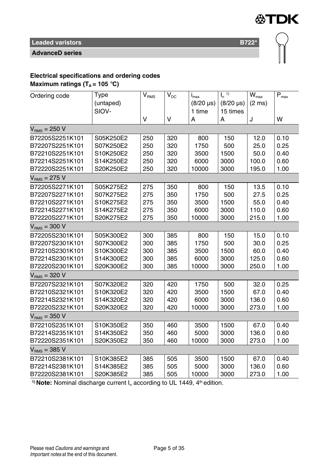

**AdvanceD series**

# **Electrical specifications and ordering codes**

**Maximum ratings (** $T_A$  **= 105 °C)** 

| Ordering code     | Type      | $\mathsf{V}_{\mathsf{RMS}}$ | $V_{DC}$ | $i_{max}$        | $\overline{I_n}^{(1)}$ | $\overline{W}_{\text{max}}$ | $\overline{\mathsf{P}}_{\mathsf{max}}$ |
|-------------------|-----------|-----------------------------|----------|------------------|------------------------|-----------------------------|----------------------------------------|
|                   | (untaped) |                             |          | $(8/20 \,\mu s)$ | $(8/20 \,\mu s)$       | $(2 \text{ ms})$            |                                        |
|                   | SIOV-     |                             |          | 1 time           | 15 times               |                             |                                        |
|                   |           | v                           | V        | Α                | Α                      | J                           | W                                      |
| $VRMS = 250 V$    |           |                             |          |                  |                        |                             |                                        |
| B72205S2251K101   | S05K250E2 | 250                         | 320      | 800              | 150                    | 12.0                        | 0.10                                   |
| B72207S2251K101   | S07K250E2 | 250                         | 320      | 1750             | 500                    | 25.0                        | 0.25                                   |
| B72210S2251K101   | S10K250E2 | 250                         | 320      | 3500             | 1500                   | 50.0                        | 0.40                                   |
| B72214S2251K101   | S14K250E2 | 250                         | 320      | 6000             | 3000                   | 100.0                       | 0.60                                   |
| B72220S2251K101   | S20K250E2 | 250                         | 320      | 10000            | 3000                   | 195.0                       | 1.00                                   |
| $V_{RMS}$ = 275 V |           |                             |          |                  |                        |                             |                                        |
| B72205S2271K101   | S05K275E2 | 275                         | 350      | 800              | 150                    | 13.5                        | 0.10                                   |
| B72207S2271K101   | S07K275E2 | 275                         | 350      | 1750             | 500                    | 27.5                        | 0.25                                   |
| B72210S2271K101   | S10K275E2 | 275                         | 350      | 3500             | 1500                   | 55.0                        | 0.40                                   |
| B72214S2271K101   | S14K275E2 | 275                         | 350      | 6000             | 3000                   | 110.0                       | 0.60                                   |
| B72220S2271K101   | S20K275E2 | 275                         | 350      | 10000            | 3000                   | 215.0                       | 1.00                                   |
| $V_{RMS} = 300 V$ |           |                             |          |                  |                        |                             |                                        |
| B72205S2301K101   | S05K300E2 | 300                         | 385      | 800              | 150                    | 15.0                        | 0.10                                   |
| B72207S2301K101   | S07K300E2 | 300                         | 385      | 1750             | 500                    | 30.0                        | 0.25                                   |
| B72210S2301K101   | S10K300E2 | 300                         | 385      | 3500             | 1500                   | 60.0                        | 0.40                                   |
| B72214S2301K101   | S14K300E2 | 300                         | 385      | 6000             | 3000                   | 125.0                       | 0.60                                   |
| B72220S2301K101   | S20K300E2 | 300                         | 385      | 10000            | 3000                   | 250.0                       | 1.00                                   |
| $VRMS = 320 V$    |           |                             |          |                  |                        |                             |                                        |
| B72207S2321K101   | S07K320E2 | 320                         | 420      | 1750             | 500                    | 32.0                        | 0.25                                   |
| B72210S2321K101   | S10K320E2 | 320                         | 420      | 3500             | 1500                   | 67.0                        | 0.40                                   |
| B72214S2321K101   | S14K320E2 | 320                         | 420      | 6000             | 3000                   | 136.0                       | 0.60                                   |
| B72220S2321K101   | S20K320E2 | 320                         | 420      | 10000            | 3000                   | 273.0                       | 1.00                                   |
| $VRMS = 350 V$    |           |                             |          |                  |                        |                             |                                        |
| B72210S2351K101   | S10K350E2 | 350                         | 460      | 3500             | 1500                   | 67.0                        | 0.40                                   |
| B72214S2351K101   | S14K350E2 | 350                         | 460      | 5000             | 3000                   | 136.0                       | 0.60                                   |
| B72220S2351K101   | S20K350E2 | 350                         | 460      | 10000            | 3000                   | 273.0                       | 1.00                                   |
| $V_{RMS} = 385$ V |           |                             |          |                  |                        |                             |                                        |
| B72210S2381K101   | S10K385E2 | 385                         | 505      | 3500             | 1500                   | 67.0                        | 0.40                                   |
| B72214S2381K101   | S14K385E2 | 385                         | 505      | 5000             | 3000                   | 136.0                       | 0.60                                   |
| B72220S2381K101   | S20K385E2 | 385                         | 505      | 10000            | 3000                   | 273.0                       | 1.00                                   |

<sup>1)</sup> Note: Nominal discharge current I<sub>n</sub> according to UL 1449, 4<sup>th</sup> edition.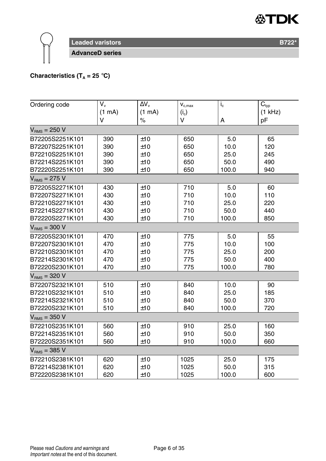

### **Characteristics (T<sub>A</sub> = 25 °C)**

| Ordering code     | V.     | $\Delta V_{\rm v}$ | $\mathbf{V}_{\mathrm{c,max}}$ | $i_{\rm c}$ | $\overline{C}_{typ}$ |
|-------------------|--------|--------------------|-------------------------------|-------------|----------------------|
|                   | (1 mA) | (1 mA)             | $(i_c)$                       |             | $(1$ kHz)            |
|                   | v      | $\%$               | v                             | A           | pF                   |
| $VRMS = 250 V$    |        |                    |                               |             |                      |
| B72205S2251K101   | 390    | ±10                | 650                           | 5.0         | 65                   |
| B72207S2251K101   | 390    | ±10                | 650                           | 10.0        | 120                  |
| B72210S2251K101   | 390    | ±10                | 650                           | 25.0        | 245                  |
| B72214S2251K101   | 390    | ±10                | 650                           | 50.0        | 490                  |
| B72220S2251K101   | 390    | ±10                | 650                           | 100.0       | 940                  |
| $VRMS = 275 V$    |        |                    |                               |             |                      |
| B72205S2271K101   | 430    | ±10                | 710                           | 5.0         | 60                   |
| B72207S2271K101   | 430    | ±10                | 710                           | 10.0        | 110                  |
| B72210S2271K101   | 430    | ±10                | 710                           | 25.0        | 220                  |
| B72214S2271K101   | 430    | ±10                | 710                           | 50.0        | 440                  |
| B72220S2271K101   | 430    | ±10                | 710                           | 100.0       | 850                  |
| $VRMS = 300 V$    |        |                    |                               |             |                      |
| B72205S2301K101   | 470    | ±10                | 775                           | 5.0         | 55                   |
| B72207S2301K101   | 470    | ±10                | 775                           | 10.0        | 100                  |
| B72210S2301K101   | 470    | ±10                | 775                           | 25.0        | 200                  |
| B72214S2301K101   | 470    | ±10                | 775                           | 50.0        | 400                  |
| B72220S2301K101   | 470    | ±10                | 775                           | 100.0       | 780                  |
| $VRMS = 320 V$    |        |                    |                               |             |                      |
| B72207S2321K101   | 510    | ±10                | 840                           | 10.0        | 90                   |
| B72210S2321K101   | 510    | ±10                | 840                           | 25.0        | 185                  |
| B72214S2321K101   | 510    | ±10                | 840                           | 50.0        | 370                  |
| B72220S2321K101   | 510    | ±10                | 840                           | 100.0       | 720                  |
| $VRMS = 350 V$    |        |                    |                               |             |                      |
| B72210S2351K101   | 560    | ±10                | 910                           | 25.0        | 160                  |
| B72214S2351K101   | 560    | ±10                | 910                           | 50.0        | 350                  |
| B72220S2351K101   | 560    | ±10                | 910                           | 100.0       | 660                  |
| $V_{RMS}$ = 385 V |        |                    |                               |             |                      |
| B72210S2381K101   | 620    | ±10                | 1025                          | 25.0        | 175                  |
| B72214S2381K101   | 620    | ±10                | 1025                          | 50.0        | 315                  |
| B72220S2381K101   | 620    | ±10                | 1025                          | 100.0       | 600                  |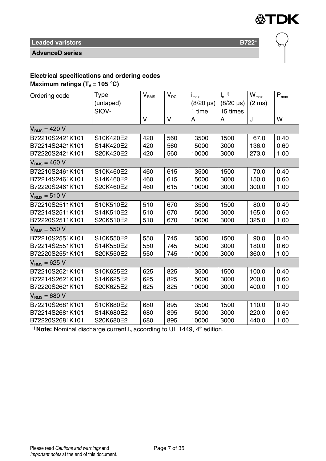

**AdvanceD series**

# **Electrical specifications and ordering codes**

**Maximum ratings (** $T_A$  **= 105 °C)** 

| Ordering code     | Type      | $V_{\rm RMS}$ | $V_{DC}$ | $i_{max}$        | $\mathsf{I}_n$ <sup>1)</sup> | $W_{\text{max}}$ | $\mathsf{P}_{\mathsf{max}}$ |
|-------------------|-----------|---------------|----------|------------------|------------------------------|------------------|-----------------------------|
|                   | (untaped) |               |          | $(8/20 \,\mu s)$ | $(8/20 \,\mu s)$             | $(2 \text{ ms})$ |                             |
|                   | SIOV-     |               |          | 1 time           | 15 times                     |                  |                             |
|                   |           | v             | $\vee$   | A                | A                            | J                | w                           |
| $V_{RMS}$ = 420 V |           |               |          |                  |                              |                  |                             |
| B72210S2421K101   | S10K420E2 | 420           | 560      | 3500             | 1500                         | 67.0             | 0.40                        |
| B72214S2421K101   | S14K420E2 | 420           | 560      | 5000             | 3000                         | 136.0            | 0.60                        |
| B72220S2421K101   | S20K420E2 | 420           | 560      | 10000            | 3000                         | 273.0            | 1.00                        |
| $V_{RMS}$ = 460 V |           |               |          |                  |                              |                  |                             |
| B72210S2461K101   | S10K460E2 | 460           | 615      | 3500             | 1500                         | 70.0             | 0.40                        |
| B72214S2461K101   | S14K460E2 | 460           | 615      | 5000             | 3000                         | 150.0            | 0.60                        |
| B72220S2461K101   | S20K460E2 | 460           | 615      | 10000            | 3000                         | 300.0            | 1.00                        |
| $VRMS = 510 V$    |           |               |          |                  |                              |                  |                             |
| B72210S2511K101   | S10K510E2 | 510           | 670      | 3500             | 1500                         | 80.0             | 0.40                        |
| B72214S2511K101   | S14K510E2 | 510           | 670      | 5000             | 3000                         | 165.0            | 0.60                        |
| B72220S2511K101   | S20K510E2 | 510           | 670      | 10000            | 3000                         | 325.0            | 1.00                        |
| $V_{RMS}$ = 550 V |           |               |          |                  |                              |                  |                             |
| B72210S2551K101   | S10K550E2 | 550           | 745      | 3500             | 1500                         | 90.0             | 0.40                        |
| B72214S2551K101   | S14K550E2 | 550           | 745      | 5000             | 3000                         | 180.0            | 0.60                        |
| B72220S2551K101   | S20K550E2 | 550           | 745      | 10000            | 3000                         | 360.0            | 1.00                        |
| $VRMS = 625 V$    |           |               |          |                  |                              |                  |                             |
| B72210S2621K101   | S10K625E2 | 625           | 825      | 3500             | 1500                         | 100.0            | 0.40                        |
| B72214S2621K101   | S14K625E2 | 625           | 825      | 5000             | 3000                         | 200.0            | 0.60                        |
| B72220S2621K101   | S20K625E2 | 625           | 825      | 10000            | 3000                         | 400.0            | 1.00                        |
| $VRMS = 680 V$    |           |               |          |                  |                              |                  |                             |
| B72210S2681K101   | S10K680E2 | 680           | 895      | 3500             | 1500                         | 110.0            | 0.40                        |
| B72214S2681K101   | S14K680E2 | 680           | 895      | 5000             | 3000                         | 220.0            | 0.60                        |
| B72220S2681K101   | S20K680E2 | 680           | 895      | 10000            | 3000                         | 440.0            | 1.00                        |

<sup>1)</sup> Note: Nominal discharge current I<sub>n</sub> according to UL 1449, 4<sup>th</sup> edition.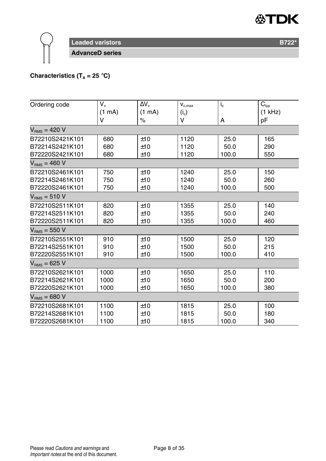

### **Characteristics (T<sub>A</sub> = 25 °C)**

| Ordering code     | V.     | ΔV <sub>ν</sub> | $\mathbf{V}_{\text{c,max}}$ | $i_{\rm c}$ | $C_{typ}$ |
|-------------------|--------|-----------------|-----------------------------|-------------|-----------|
|                   | (1 mA) | (1 mA)          | $(i_c)$                     |             | $(1$ kHz) |
|                   | v      | $\%$            | v                           | A           | pF        |
| $V_{BMS} = 420 V$ |        |                 |                             |             |           |
| B72210S2421K101   | 680    | ±10             | 1120                        | 25.0        | 165       |
| B72214S2421K101   | 680    | ±10             | 1120                        | 50.0        | 290       |
| B72220S2421K101   | 680    | ±10             | 1120                        | 100.0       | 550       |
| $V_{BMS}$ = 460 V |        |                 |                             |             |           |
| B72210S2461K101   | 750    | ±10             | 1240                        | 25.0        | 150       |
| B72214S2461K101   | 750    | ±10             | 1240                        | 50.0        | 260       |
| B72220S2461K101   | 750    | ±10             | 1240                        | 100.0       | 500       |
| $V_{BMS}$ = 510 V |        |                 |                             |             |           |
| B72210S2511K101   | 820    | ±10             | 1355                        | 25.0        | 140       |
| B72214S2511K101   | 820    | ±10             | 1355                        | 50.0        | 240       |
| B72220S2511K101   | 820    | ±10             | 1355                        | 100.0       | 460       |
| $VRMS = 550 V$    |        |                 |                             |             |           |
| B72210S2551K101   | 910    | ±10             | 1500                        | 25.0        | 120       |
| B72214S2551K101   | 910    | ±10             | 1500                        | 50.0        | 215       |
| B72220S2551K101   | 910    | ±10             | 1500                        | 100.0       | 410       |
| $V_{BMS}$ = 625 V |        |                 |                             |             |           |
| B72210S2621K101   | 1000   | ±10             | 1650                        | 25.0        | 110       |
| B72214S2621K101   | 1000   | ±10             | 1650                        | 50.0        | 200       |
| B72220S2621K101   | 1000   | ±10             | 1650                        | 100.0       | 380       |
| $VRMS = 680 V$    |        |                 |                             |             |           |
| B72210S2681K101   | 1100   | ±10             | 1815                        | 25.0        | 100       |
| B72214S2681K101   | 1100   | ±10             | 1815                        | 50.0        | 180       |
| B72220S2681K101   | 1100   | ±10             | 1815                        | 100.0       | 340       |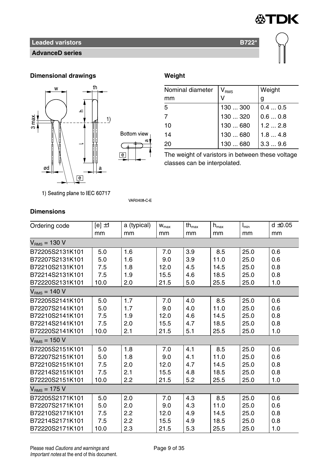

#### **AdvanceD series**

#### **Dimensional drawings Weight**



| Nominal diameter | $V_{RMS}$ | Weight |
|------------------|-----------|--------|
| mm               |           | g      |
| 5                | 130  300  | 0.40.5 |
|                  | 130  320  | 0.60.8 |
| 10               | 130680    | 1.22.8 |
| 14               | 130  680  | 1.84.8 |
| 20               | 130  680  | 3.39.6 |

The weight of varistors in between these voltage classes can be interpolated.

1) Seating plane to IEC 60717

**VAR0408 C E** 

#### **Dimensions**

| Ordering code     | $[e] \pm 1$ | a (typical) | $W_{\text{max}}$ | th $_{\text{max}}$ | $h_{\text{max}}$ | $I_{min}$ | $d \pm 0.05$ |
|-------------------|-------------|-------------|------------------|--------------------|------------------|-----------|--------------|
|                   | mm          | mm          | mm               | mm                 | mm               | mm        | mm           |
| $VRMS = 130 V$    |             |             |                  |                    |                  |           |              |
| B72205S2131K101   | 5.0         | 1.6         | 7.0              | 3.9                | 8.5              | 25.0      | 0.6          |
| B72207S2131K101   | 5.0         | 1.6         | 9.0              | 3.9                | 11.0             | 25.0      | 0.6          |
| B72210S2131K101   | 7.5         | 1.8         | 12.0             | 4.5                | 14.5             | 25.0      | 0.8          |
| B72214S2131K101   | 7.5         | 1.9         | 15.5             | 4.6                | 18.5             | 25.0      | 0.8          |
| B72220S2131K101   | 10.0        | 2.0         | 21.5             | 5.0                | 25.5             | 25.0      | 1.0          |
| $V_{BMS}$ = 140 V |             |             |                  |                    |                  |           |              |
| B72205S2141K101   | 5.0         | 1.7         | 7.0              | 4.0                | 8.5              | 25.0      | 0.6          |
| B72207S2141K101   | 5.0         | 1.7         | 9.0              | 4.0                | 11.0             | 25.0      | 0.6          |
| B72210S2141K101   | 7.5         | 1.9         | 12.0             | 4.6                | 14.5             | 25.0      | 0.8          |
| B72214S2141K101   | 7.5         | 2.0         | 15.5             | 4.7                | 18.5             | 25.0      | 0.8          |
| B72220S2141K101   | 10.0        | 2.1         | 21.5             | 5.1                | 25.5             | 25.0      | 1.0          |
| $V_{BMS}$ = 150 V |             |             |                  |                    |                  |           |              |
| B72205S2151K101   | 5.0         | 1.8         | 7.0              | 4.1                | 8.5              | 25.0      | 0.6          |
| B72207S2151K101   | 5.0         | 1.8         | 9.0              | 4.1                | 11.0             | 25.0      | 0.6          |
| B72210S2151K101   | 7.5         | 2.0         | 12.0             | 4.7                | 14.5             | 25.0      | 0.8          |
| B72214S2151K101   | 7.5         | 2.1         | 15.5             | 4.8                | 18.5             | 25.0      | 0.8          |
| B72220S2151K101   | 10.0        | 2.2         | 21.5             | 5.2                | 25.5             | 25.0      | 1.0          |
| $V_{BMS}$ = 175 V |             |             |                  |                    |                  |           |              |
| B72205S2171K101   | 5.0         | 2.0         | 7.0              | 4.3                | 8.5              | 25.0      | 0.6          |
| B72207S2171K101   | 5.0         | 2.0         | 9.0              | 4.3                | 11.0             | 25.0      | 0.6          |
| B72210S2171K101   | 7.5         | 2.2         | 12.0             | 4.9                | 14.5             | 25.0      | 0.8          |
| B72214S2171K101   | 7.5         | 2.2         | 15.5             | 4.9                | 18.5             | 25.0      | 0.8          |
| B72220S2171K101   | 10.0        | 2.3         | 21.5             | 5.3                | 25.5             | 25.0      | 1.0          |

Please read Cautions and warnings and <br>
Page 9 of 35 Important notes at the end of this document.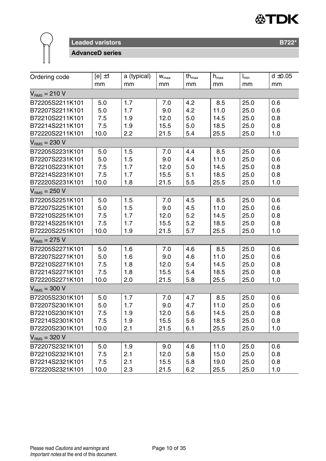



**AdvanceD series**

| Ordering code     | $[e] \pm 1$ | a (typical) | $W_{max}$ | $\operatorname{\mathsf{th}}_{\max}$ | $\mathsf{h}_{\mathsf{max}}$ | $I_{\min}$ | $d \pm 0.05$ |
|-------------------|-------------|-------------|-----------|-------------------------------------|-----------------------------|------------|--------------|
|                   | mm          | mm          | mm        | mm                                  | mm                          | mm         | mm           |
| $VRMS = 210 V$    |             |             |           |                                     |                             |            |              |
| B72205S2211K101   | 5.0         | 1.7         | 7.0       | 4.2                                 | 8.5                         | 25.0       | 0.6          |
| B72207S2211K101   | 5.0         | 1.7         | 9.0       | 4.2                                 | 11.0                        | 25.0       | 0.6          |
| B72210S2211K101   | 7.5         | 1.9         | 12.0      | 5.0                                 | 14.5                        | 25.0       | 0.8          |
| B72214S2211K101   | 7.5         | 1.9         | 15.5      | 5.0                                 | 18.5                        | 25.0       | 0.8          |
| B72220S2211K101   | 10.0        | 2.2         | 21.5      | 5.4                                 | 25.5                        | 25.0       | 1.0          |
| $VRMS = 230 V$    |             |             |           |                                     |                             |            |              |
| B72205S2231K101   | 5.0         | 1.5         | 7.0       | 4.4                                 | 8.5                         | 25.0       | 0.6          |
| B72207S2231K101   | 5.0         | 1.5         | 9.0       | 4.4                                 | 11.0                        | 25.0       | 0.6          |
| B72210S2231K101   | 7.5         | 1.7         | 12.0      | 5.0                                 | 14.5                        | 25.0       | 0.8          |
| B72214S2231K101   | 7.5         | 1.7         | 15.5      | 5.1                                 | 18.5                        | 25.0       | 0.8          |
| B72220S2231K101   | 10.0        | 1.8         | 21.5      | 5.5                                 | 25.5                        | 25.0       | 1.0          |
| $VRMS = 250 V$    |             |             |           |                                     |                             |            |              |
| B72205S2251K101   | 5.0         | 1.5         | 7.0       | 4.5                                 | 8.5                         | 25.0       | 0.6          |
| B72207S2251K101   | 5.0         | 1.5         | 9.0       | 4.5                                 | 11.0                        | 25.0       | 0.6          |
| B72210S2251K101   | 7.5         | 1.7         | 12.0      | 5.2                                 | 14.5                        | 25.0       | 0.8          |
| B72214S2251K101   | 7.5         | 1.7         | 15.5      | 5.2                                 | 18.5                        | 25.0       | 0.8          |
| B72220S2251K101   | 10.0        | 1.9         | 21.5      | 5.7                                 | 25.5                        | 25.0       | 1.0          |
| $VRMS = 275 V$    |             |             |           |                                     |                             |            |              |
| B72205S2271K101   | 5.0         | 1.6         | 7.0       | 4.6                                 | 8.5                         | 25.0       | 0.6          |
| B72207S2271K101   | 5.0         | 1.6         | 9.0       | 4.6                                 | 11.0                        | 25.0       | 0.6          |
| B72210S2271K101   | 7.5         | 1.8         | 12.0      | 5.4                                 | 14.5                        | 25.0       | 0.8          |
| B72214S2271K101   | 7.5         | 1.8         | 15.5      | 5.4                                 | 18.5                        | 25.0       | 0.8          |
| B72220S2271K101   | 10.0        | 2.0         | 21.5      | 5.8                                 | 25.5                        | 25.0       | 1.0          |
| $V_{RMS} = 300 V$ |             |             |           |                                     |                             |            |              |
| B72205S2301K101   | 5.0         | 1.7         | 7.0       | 4.7                                 | 8.5                         | 25.0       | 0.6          |
| B72207S2301K101   | 5.0         | 1.7         | 9.0       | 4.7                                 | 11.0                        | 25.0       | 0.6          |
| B72210S2301K101   | 7.5         | 1.9         | 12.0      | 5.6                                 | 14.5                        | 25.0       | 0.8          |
| B72214S2301K101   | 7.5         | 1.9         | 15.5      | 5.6                                 | 18.5                        | 25.0       | 0.8          |
| B72220S2301K101   | 10.0        | 2.1         | 21.5      | 6.1                                 | 25.5                        | 25.0       | 1.0          |
| $V_{RMS} = 320 V$ |             |             |           |                                     |                             |            |              |
| B72207S2321K101   | 5.0         | 1.9         | 9.0       | 4.6                                 | 11.0                        | 25.0       | 0.6          |
| B72210S2321K101   | 7.5         | 2.1         | 12.0      | 5.8                                 | 15.0                        | 25.0       | 0.8          |
| B72214S2321K101   | 7.5         | 2.1         | 15.5      | 5.8                                 | 19.0                        | 25.0       | 0.8          |
| B72220S2321K101   | 10.0        | 2.3         | 21.5      | 6.2                                 | 25.5                        | 25.0       | 1.0          |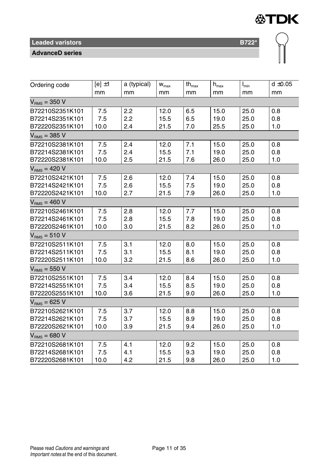#### **AdvanceD series**

| Ordering code   | $[e] \pm 1$ | a (typical) | $\mathsf{w}_{\mathsf{max}}$ | $th_{\text{max}}$ | $\mathsf{h}_{\mathsf{max}}$ | $\mathsf{I}_{\mathsf{min}}$ | $d \pm 0.05$ |
|-----------------|-------------|-------------|-----------------------------|-------------------|-----------------------------|-----------------------------|--------------|
|                 | mm          | mm          | mm                          | mm                | mm                          | mm                          | mm           |
| $VRMS = 350 V$  |             |             |                             |                   |                             |                             |              |
| B72210S2351K101 | 7.5         | 2.2         | 12.0                        | 6.5               | 15.0                        | 25.0                        | 0.8          |
| B72214S2351K101 | 7.5         | 2.2         | 15.5                        | 6.5               | 19.0                        | 25.0                        | 0.8          |
| B72220S2351K101 | 10.0        | 2.4         | 21.5                        | 7.0               | 25.5                        | 25.0                        | 1.0          |
| $VRMS = 385 V$  |             |             |                             |                   |                             |                             |              |
| B72210S2381K101 | 7.5         | 2.4         | 12.0                        | 7.1               | 15.0                        | 25.0                        | 0.8          |
| B72214S2381K101 | 7.5         | 2.4         | 15.5                        | 7.1               | 19.0                        | 25.0                        | 0.8          |
| B72220S2381K101 | 10.0        | 2.5         | 21.5                        | 7.6               | 26.0                        | 25.0                        | 1.0          |
| $VRMS = 420 V$  |             |             |                             |                   |                             |                             |              |
| B72210S2421K101 | 7.5         | 2.6         | 12.0                        | 7.4               | 15.0                        | 25.0                        | 0.8          |
| B72214S2421K101 | 7.5         | 2.6         | 15.5                        | 7.5               | 19.0                        | 25.0                        | 0.8          |
| B72220S2421K101 | 10.0        | 2.7         | 21.5                        | 7.9               | 26.0                        | 25.0                        | 1.0          |
| $VRMS = 460 V$  |             |             |                             |                   |                             |                             |              |
| B72210S2461K101 | 7.5         | 2.8         | 12.0                        | 7.7               | 15.0                        | 25.0                        | 0.8          |
| B72214S2461K101 | 7.5         | 2.8         | 15.5                        | 7.8               | 19.0                        | 25.0                        | 0.8          |
| B72220S2461K101 | 10.0        | 3.0         | 21.5                        | 8.2               | 26.0                        | 25.0                        | 1.0          |
| $VRMS = 510 V$  |             |             |                             |                   |                             |                             |              |
| B72210S2511K101 | 7.5         | 3.1         | 12.0                        | 8.0               | 15.0                        | 25.0                        | 0.8          |
| B72214S2511K101 | 7.5         | 3.1         | 15.5                        | 8.1               | 19.0                        | 25.0                        | 0.8          |
| B72220S2511K101 | 10.0        | 3.2         | 21.5                        | 8.6               | 26.0                        | 25.0                        | 1.0          |
| $VRMS = 550 V$  |             |             |                             |                   |                             |                             |              |
| B72210S2551K101 | 7.5         | 3.4         | 12.0                        | 8.4               | 15.0                        | 25.0                        | 0.8          |
| B72214S2551K101 | 7.5         | 3.4         | 15.5                        | 8.5               | 19.0                        | 25.0                        | 0.8          |
| B72220S2551K101 | 10.0        | 3.6         | 21.5                        | 9.0               | 26.0                        | 25.0                        | 1.0          |
| $VRMS = 625 V$  |             |             |                             |                   |                             |                             |              |
| B72210S2621K101 | 7.5         | 3.7         | 12.0                        | 8.8               | 15.0                        | 25.0                        | 0.8          |
| B72214S2621K101 | 7.5         | 3.7         | 15.5                        | 8.9               | 19.0                        | 25.0                        | 0.8          |
| B72220S2621K101 | 10.0        | 3.9         | 21.5                        | 9.4               | 26.0                        | 25.0                        | 1.0          |
| $VRMS = 680 V$  |             |             |                             |                   |                             |                             |              |
| B72210S2681K101 | 7.5         | 4.1         | 12.0                        | 9.2               | 15.0                        | 25.0                        | 0.8          |
| B72214S2681K101 | 7.5         | 4.1         | 15.5                        | 9.3               | 19.0                        | 25.0                        | 0.8          |
| B72220S2681K101 | 10.0        | 4.2         | 21.5                        | 9.8               | 26.0                        | 25.0                        | 1.0          |

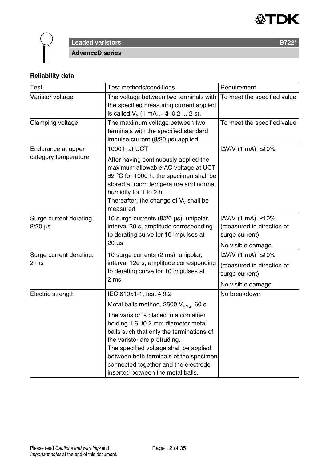



### **Reliability data**

| Test                                       | Test methods/conditions                                                                                                                                                                                                                                                                                                       | Requirement                                                                                           |
|--------------------------------------------|-------------------------------------------------------------------------------------------------------------------------------------------------------------------------------------------------------------------------------------------------------------------------------------------------------------------------------|-------------------------------------------------------------------------------------------------------|
| Varistor voltage                           | The voltage between two terminals with<br>the specified measuring current applied<br>is called $V_v$ (1 mA <sub>pc</sub> @ 0.2  2 s).                                                                                                                                                                                         | To meet the specified value                                                                           |
| Clamping voltage                           | The maximum voltage between two<br>terminals with the specified standard<br>impulse current (8/20 µs) applied.                                                                                                                                                                                                                | To meet the specified value                                                                           |
| Endurance at upper<br>category temperature | 1000 h at UCT<br>After having continuously applied the<br>maximum allowable AC voltage at UCT<br>$\pm 2$ °C for 1000 h, the specimen shall be<br>stored at room temperature and normal<br>humidity for 1 to 2 h.<br>Thereafter, the change of $V_v$ shall be<br>measured.                                                     | $ \Delta$ V/V (1 mA) $ \leq$ 10%                                                                      |
| Surge current derating,<br>$8/20 \,\mu s$  | 10 surge currents (8/20 µs), unipolar,<br>interval 30 s, amplitude corresponding<br>to derating curve for 10 impulses at<br>20 <sub>us</sub>                                                                                                                                                                                  | $ \Delta$ V/V (1 mA) $ \leq$ 10%<br>(measured in direction of<br>surge current)<br>No visible damage  |
| Surge current derating,<br>2 ms            | 10 surge currents (2 ms), unipolar,<br>interval 120 s, amplitude corresponding<br>to derating curve for 10 impulses at<br>2 <sub>ms</sub>                                                                                                                                                                                     | $ \Delta V/V$ (1 mA) $ \leq 10\%$<br>(measured in direction of<br>surge current)<br>No visible damage |
| Electric strength                          | IEC 61051-1, test 4.9.2<br>Metal balls method, 2500 V <sub>RMS</sub> , 60 s                                                                                                                                                                                                                                                   | No breakdown                                                                                          |
|                                            | The varistor is placed in a container<br>holding $1.6 \pm 0.2$ mm diameter metal<br>balls such that only the terminations of<br>the varistor are protruding.<br>The specified voltage shall be applied<br>between both terminals of the specimen<br>connected together and the electrode<br>inserted between the metal balls. |                                                                                                       |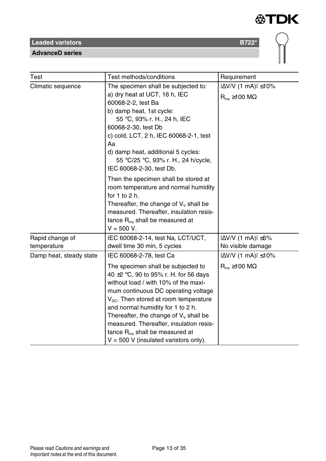**AdvanceD series**

| Test                           | Test methods/conditions                                                                                                                                                                                                                                                                                                                                                                                                             | Requirement                                                      |  |
|--------------------------------|-------------------------------------------------------------------------------------------------------------------------------------------------------------------------------------------------------------------------------------------------------------------------------------------------------------------------------------------------------------------------------------------------------------------------------------|------------------------------------------------------------------|--|
| Climatic sequence              | The specimen shall be subjected to:<br>a) dry heat at UCT, 16 h, IEC<br>60068-2-2, test Ba<br>b) damp heat, 1st cycle:<br>55 °C, 93% r. H., 24 h, IEC<br>60068-2-30, test Db<br>c) cold, LCT, 2 h, IEC 60068-2-1, test<br>Aa<br>d) damp heat, additional 5 cycles:<br>55 °C/25 °C, 93% r. H., 24 h/cycle,<br>IEC 60068-2-30, test Db.                                                                                               | $ \Delta$ V/V (1 mA) $ \leq$ 10%<br>$R_{ins} \ge 100$ M $\Omega$ |  |
|                                | Then the specimen shall be stored at<br>room temperature and normal humidity<br>for $1$ to $2$ h.<br>Thereafter, the change of $V_v$ shall be<br>measured. Thereafter, insulation resis-<br>tance R <sub>ins</sub> shall be measured at<br>$V = 500 V$ .                                                                                                                                                                            |                                                                  |  |
| Rapid change of<br>temperature | IEC 60068-2-14, test Na, LCT/UCT,<br>dwell time 30 min, 5 cycles                                                                                                                                                                                                                                                                                                                                                                    | $ \Delta V/V$ (1 mA) $ \leq 5\%$<br>No visible damage            |  |
| Damp heat, steady state        | IEC 60068-2-78, test Ca                                                                                                                                                                                                                                                                                                                                                                                                             | $ \Delta$ V/V (1 mA) $ \leq$ 10%                                 |  |
|                                | The specimen shall be subjected to<br>40 $\pm$ 2 °C, 90 to 95% r. H. for 56 days<br>without load / with 10% of the maxi-<br>mum continuous DC operating voltage<br>$V_{\text{DC}}$ . Then stored at room temperature<br>and normal humidity for 1 to 2 h.<br>Thereafter, the change of $V_v$ shall be<br>measured. Thereafter, insulation resis-<br>tance $R_{ins}$ shall be measured at<br>$V = 500$ V (insulated varistors only). | $R_{ins} \ge 100$ M $\Omega$                                     |  |

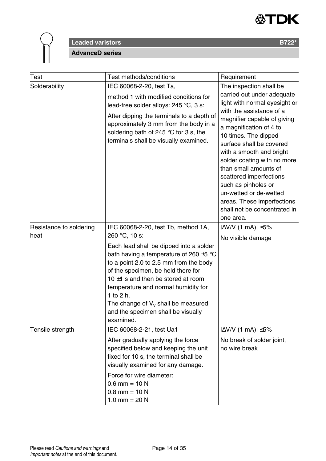



| Test                            | Test methods/conditions                                                                                                                                                                                                                                                                                                                                                                                                   | Requirement                                                                                                                                                                                                                                                                                                                                                                                                                                                                 |
|---------------------------------|---------------------------------------------------------------------------------------------------------------------------------------------------------------------------------------------------------------------------------------------------------------------------------------------------------------------------------------------------------------------------------------------------------------------------|-----------------------------------------------------------------------------------------------------------------------------------------------------------------------------------------------------------------------------------------------------------------------------------------------------------------------------------------------------------------------------------------------------------------------------------------------------------------------------|
| Solderability                   | IEC 60068-2-20, test Ta,<br>method 1 with modified conditions for<br>lead-free solder alloys: 245 °C, 3 s:<br>After dipping the terminals to a depth of<br>approximately 3 mm from the body in a<br>soldering bath of 245 °C for 3 s, the<br>terminals shall be visually examined.                                                                                                                                        | The inspection shall be<br>carried out under adequate<br>light with normal eyesight or<br>with the assistance of a<br>magnifier capable of giving<br>a magnification of 4 to<br>10 times. The dipped<br>surface shall be covered<br>with a smooth and bright<br>solder coating with no more<br>than small amounts of<br>scattered imperfections<br>such as pinholes or<br>un-wetted or de-wetted<br>areas. These imperfections<br>shall not be concentrated in<br>one area. |
| Resistance to soldering<br>heat | IEC 60068-2-20, test Tb, method 1A,<br>260 °C, 10 s:<br>Each lead shall be dipped into a solder<br>bath having a temperature of 260 $\pm$ 5 °C<br>to a point 2.0 to 2.5 mm from the body<br>of the specimen, be held there for<br>10 $\pm$ 1 s and then be stored at room<br>temperature and normal humidity for<br>1 to 2 h.<br>The change of $V_v$ shall be measured<br>and the specimen shall be visually<br>examined. | $ \Delta V/V$ (1 mA) $ \leq 5\%$<br>No visible damage                                                                                                                                                                                                                                                                                                                                                                                                                       |
| Tensile strength                | IEC 60068-2-21, test Ua1<br>After gradually applying the force<br>specified below and keeping the unit<br>fixed for 10 s, the terminal shall be<br>visually examined for any damage.<br>Force for wire diameter:<br>$0.6$ mm = 10 N<br>$0.8$ mm = 10 N<br>1.0 mm = $20 N$                                                                                                                                                 | $ \Delta$ V/V (1 mA) $ \leq$ 5%<br>No break of solder joint,<br>no wire break                                                                                                                                                                                                                                                                                                                                                                                               |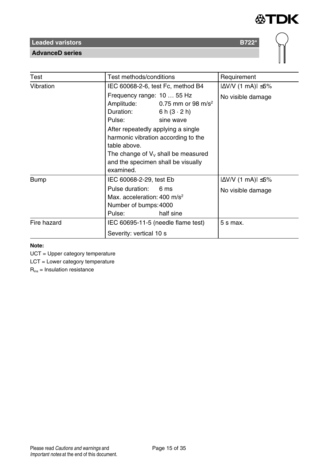

**AdvanceD series**

| Test        | Test methods/conditions                                                                                                                      |                                       | Requirement                      |
|-------------|----------------------------------------------------------------------------------------------------------------------------------------------|---------------------------------------|----------------------------------|
| Vibration   | IEC 60068-2-6, test Fc, method B4                                                                                                            |                                       | $ \Delta V/V$ (1 mA) $ \leq 5\%$ |
|             | Frequency range: 10  55 Hz                                                                                                                   |                                       | No visible damage                |
|             | Amplitude:                                                                                                                                   | 0.75 mm or 98 m/s <sup>2</sup>        |                                  |
|             | Duration:                                                                                                                                    | 6 h $(3 \cdot 2)$ h)                  |                                  |
|             | Pulse:                                                                                                                                       | sine wave                             |                                  |
|             | After repeatedly applying a single<br>harmonic vibration according to the<br>table above.<br>and the specimen shall be visually<br>examined. | The change of $V_v$ shall be measured |                                  |
| <b>Bump</b> | IEC 60068-2-29, test Eb                                                                                                                      |                                       | $ \Delta V/V$ (1 mA) $ \leq 5\%$ |
|             | Pulse duration:<br>Max. acceleration: $400 \text{ m/s}^2$<br>Number of bumps: 4000<br>Pulse:                                                 | 6 ms<br>half sine                     | No visible damage                |
| Fire hazard | IEC 60695-11-5 (needle flame test)                                                                                                           |                                       | 5 s max.                         |
|             | Severity: vertical 10 s                                                                                                                      |                                       |                                  |

#### **Note:**

UCT = Upper category temperature

LCT = Lower category temperature

 $R_{ins}$  = Insulation resistance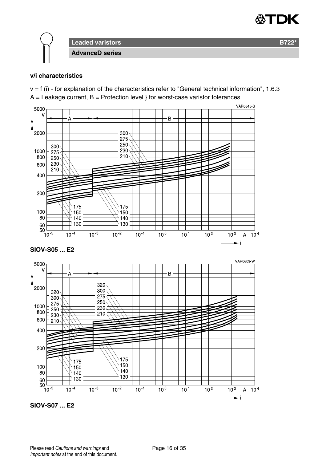

#### **v/i characteristics**

 $v = f$  (i) - for explanation of the characteristics refer to "General technical information", 1.6.3  $A =$  Leakage current,  $B =$  Protection level } for worst-case varistor tolerances



**SIOV-S07 ... E2**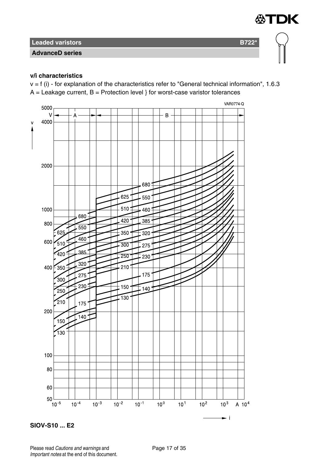**AdvanceD series**

#### **v/i characteristics**

 $v = f(i)$  - for explanation of the characteristics refer to "General technical information", 1.6.3  $A =$  Leakage current,  $B =$  Protection level } for worst-case varistor tolerances

∜TDK





Please read Cautions and warnings and <br>
Page 17 of 35 Important notes at the end of this document.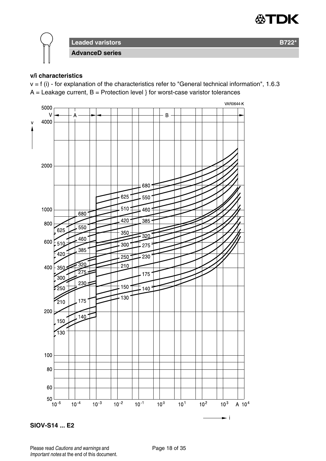

#### **v/i characteristics**

 $v = f(i)$  - for explanation of the characteristics refer to "General technical information", 1.6.3  $A =$  Leakage current,  $B =$  Protection level } for worst-case varistor tolerances



**SIOV-S14 ... E2**

Please read Cautions and warnings and <br>
Page 18 of 35 Important notes at the end of this document.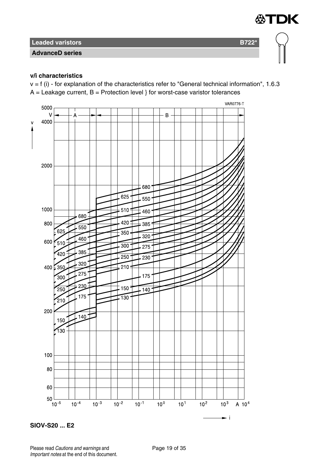**AdvanceD series**

#### **v/i characteristics**

 $v = f(i)$  - for explanation of the characteristics refer to "General technical information", 1.6.3  $A =$  Leakage current,  $B =$  Protection level } for worst-case varistor tolerances

∜TDK



**SIOV-S20 ... E2**

Please read Cautions and warnings and <br>
Page 19 of 35 Important notes at the end of this document.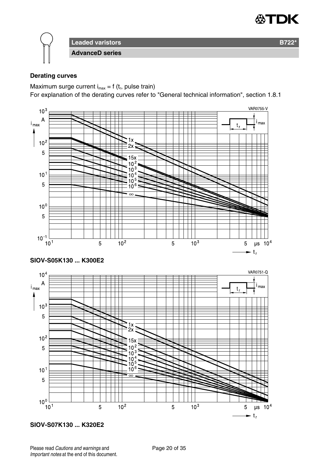

#### **Derating curves**

Maximum surge current  $i_{max} = f(t_r)$ , pulse train)

For explanation of the derating curves refer to "General technical information", section 1.8.1



**SIOV-S07K130 ... K320E2**

Please read Cautions and warnings and <br>
Page 20 of 35 Important notes at the end of this document.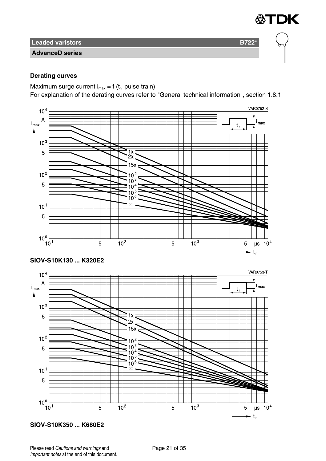**AdvanceD series**

#### **Derating curves**

Maximum surge current  $i_{max} = f(t_r)$ , pulse train)

For explanation of the derating curves refer to "General technical information", section 1.8.1

∰TDK



**SIOV-S10K350 ... K680E2**

Please read Cautions and warnings and <br>
Page 21 of 35 Important notes at the end of this document.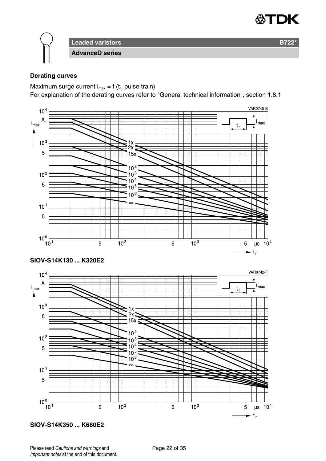

#### **Derating curves**

Maximum surge current  $i_{max} = f(t_r)$ , pulse train)

For explanation of the derating curves refer to "General technical information", section 1.8.1



**SIOV-S14K350 ... K680E2**

Please read Cautions and warnings and <br>
Page 22 of 35 Important notes at the end of this document.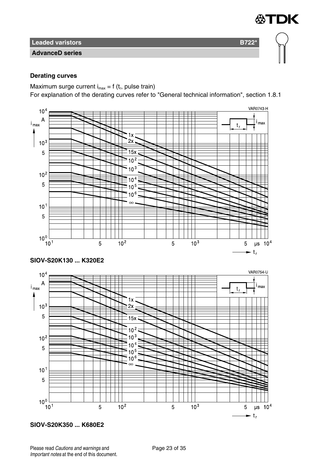**AdvanceD series**

#### **Derating curves**

Maximum surge current  $i_{max} = f(t_r)$ , pulse train)

For explanation of the derating curves refer to "General technical information", section 1.8.1

∰TDK



**SIOV-S20K350 ... K680E2**

Please read Cautions and warnings and <br>
Page 23 of 35 Important notes at the end of this document.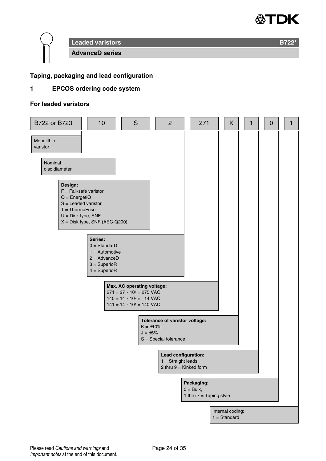

#### **Taping, packaging and lead configuration**

#### **1 EPCOS ordering code system**

#### **For leaded varistors**

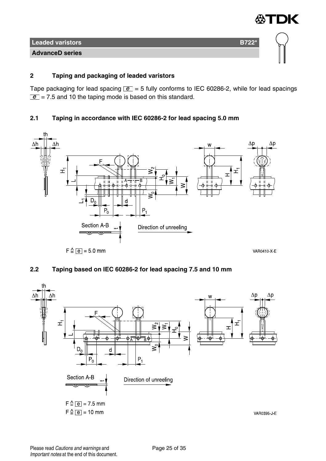

#### **2 Taping and packaging of leaded varistors**

Tape packaging for lead spacing  $\boxed{e}$  = 5 fully conforms to IEC 60286-2, while for lead spacings  $\boxed{e}$  = 7.5 and 10 the taping mode is based on this standard.

#### **2.1 Taping in accordance with IEC 60286-2 for lead spacing 5.0 mm**



#### **2.2 Taping based on IEC 60286-2 for lead spacing 7.5 and 10 mm**

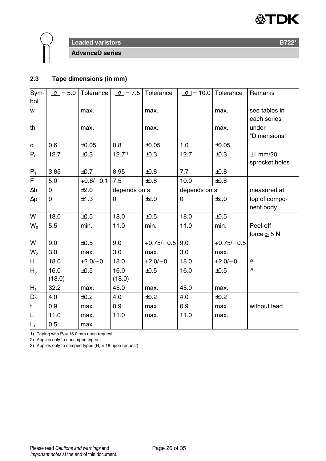



# **Leaded varistors B722<sup>\*</sup> B722<sup>\*</sup>**

**AdvanceD series**

#### **2.3 Tape dimensions (in mm)**

| Sym-           | $ e  = 5.0$ | Tolerance   | $\boxed{e}$ = 7.5 | Tolerance    | $e = 10.0$   | Tolerance    | Remarks        |
|----------------|-------------|-------------|-------------------|--------------|--------------|--------------|----------------|
| bol            |             |             |                   |              |              |              |                |
| w              |             | max.        |                   | max.         |              | max.         | see tables in  |
|                |             |             |                   |              |              |              | each series    |
| th             |             | max.        |                   | max.         |              | max.         | under          |
|                |             |             |                   |              |              |              | "Dimensions"   |
| d              | 0.6         | $\pm 0.05$  | 0.8               | $\pm 0.05$   | 1.0          | $\pm 0.05$   |                |
| $P_0$          | 12.7        | $\pm 0.3$   | 12.7 <sup>1</sup> | ±0.3         | 12.7         | ±0.3         | $±1$ mm/20     |
|                |             |             |                   |              |              |              | sprocket holes |
| $P_1$          | 3.85        | ±0.7        | 8.95              | $\pm 0.8$    | 7.7          | $\pm 0.8$    |                |
| F              | 5.0         | $+0.6/-0.1$ | 7.5               | $\pm 0.8$    | 10.0         | ±0.8         |                |
| Δh             | 0           | ±2.0        | depends on s      |              | depends on s |              | measured at    |
| $\Delta p$     | 0           | ±1.3        | $\Omega$          | ±2.0         | 0            | ±2.0         | top of compo-  |
|                |             |             |                   |              |              |              | nent body      |
| W              | 18.0        | ±0.5        | 18.0              | ±0.5         | 18.0         | ±0.5         |                |
| $W_0$          | 5.5         | min.        | 11.0              | min.         | 11.0         | min.         | Peel-off       |
|                |             |             |                   |              |              |              | force $> 5 N$  |
| $W_1$          | 9.0         | ±0.5        | 9.0               | $+0.75/-0.5$ | 9.0          | $+0.75/-0.5$ |                |
| W <sub>2</sub> | 3.0         | max.        | 3.0               | max.         | 3.0          | max.         |                |
| H              | 18.0        | $+2.0/-0$   | 18.0              | $+2.0/-0$    | 18.0         | $+2.0/-0$    | 2)             |
| $H_0$          | 16.0        | ±0.5        | 16.0              | ±0.5         | 16.0         | ±0.5         | 3)             |
|                | (18.0)      |             | (18.0)            |              |              |              |                |
| $H_1$          | 32.2        | max.        | 45.0              | max.         | 45.0         | max.         |                |
| $D_0$          | 4.0         | ±0.2        | 4.0               | ±0.2         | 4.0          | ±0.2         |                |
| t              | 0.9         | max.        | 0.9               | max.         | 0.9          | max.         | without lead   |
| L              | 11.0        | max.        | 11.0              | max.         | 11.0         | max.         |                |
| $L_1$          | 0.5         | max.        |                   |              |              |              |                |

1) Taping with  $P_0 = 15.0$  mm upon request

2) Applies only to uncrimped types

3) Applies only to crimped types ( $H_0 = 18$  upon request)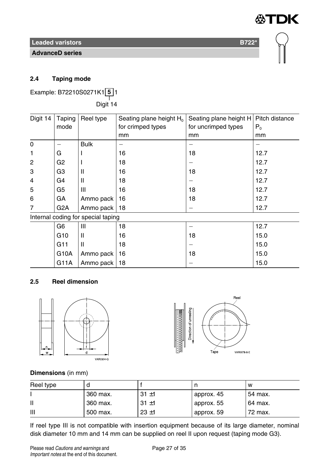**AdvanceD series**

DK

#### **2.4 Taping mode**

Example: B72210S0271K1 **5** 1 ——<br>Digit 14

| Digit 14       | Taping           | Reel type                          | Seating plane height H <sub>0</sub> | Seating plane height H | Pitch distance |
|----------------|------------------|------------------------------------|-------------------------------------|------------------------|----------------|
|                | mode             |                                    | for crimped types                   | for uncrimped types    | P <sub>0</sub> |
|                |                  |                                    | mm                                  | mm                     | mm             |
| 0              |                  | <b>Bulk</b>                        |                                     |                        |                |
| 1              | G                |                                    | 16                                  | 18                     | 12.7           |
| $\overline{2}$ | G <sub>2</sub>   |                                    | 18                                  |                        | 12.7           |
| 3              | G3               | $\mathsf{I}$                       | 16                                  | 18                     | 12.7           |
| $\overline{4}$ | G4               | $\mathsf{I}$                       | 18                                  |                        | 12.7           |
| 5              | G5               | Ш                                  | 16                                  | 18                     | 12.7           |
| 6              | GA               | Ammo pack                          | 16                                  | 18                     | 12.7           |
| 7              | G <sub>2</sub> A | Ammo pack                          | 18                                  |                        | 12.7           |
|                |                  | Internal coding for special taping |                                     |                        |                |
|                | G6               | Ш                                  | 18                                  |                        | 12.7           |
|                | G <sub>10</sub>  | Ш                                  | 16                                  | 18                     | 15.0           |
|                | G11              | $\mathsf{II}$                      | 18                                  |                        | 15.0           |
|                | G10A             | Ammo pack                          | 16                                  | 18                     | 15.0           |
|                | G11A             | Ammo pack                          | 18                                  |                        | 15.0           |

#### **2.5 Reel dimension**





#### **Dimensions** (in mm)

| Reel type |          |          |            | w       |
|-----------|----------|----------|------------|---------|
|           | 360 max. | $31 + 1$ | approx. 45 | 54 max. |
|           | 360 max. | $31 + 1$ | approx. 55 | 64 max. |
| Ш         | 500 max. | $23 + 1$ | approx. 59 | 72 max. |

If reel type III is not compatible with insertion equipment because of its large diameter, nominal disk diameter 10 mm and 14 mm can be supplied on reel II upon request (taping mode G3).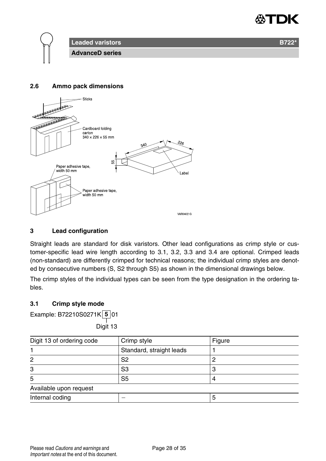



#### **2.6 Ammo pack dimensions**



#### **3 Lead configuration**

Straight leads are standard for disk varistors. Other lead configurations as crimp style or customer-specific lead wire length according to 3.1, 3.2, 3.3 and 3.4 are optional. Crimped leads (non-standard) are differently crimped for technical reasons; the individual crimp styles are denoted by consecutive numbers (S, S2 through S5) as shown in the dimensional drawings below.

The crimp styles of the individual types can be seen from the type designation in the ordering tables.

#### **3.1 Crimp style mode**

Example: B72210S0271K **5** 01

——<br>Digit 13

| Digit 13 of ordering code | Crimp style              | Figure |
|---------------------------|--------------------------|--------|
|                           | Standard, straight leads |        |
| 2                         | S2                       |        |
| 3                         | S <sub>3</sub>           |        |
| 5                         | S <sub>5</sub>           |        |
| Available upon request    |                          |        |
| Internal coding           |                          |        |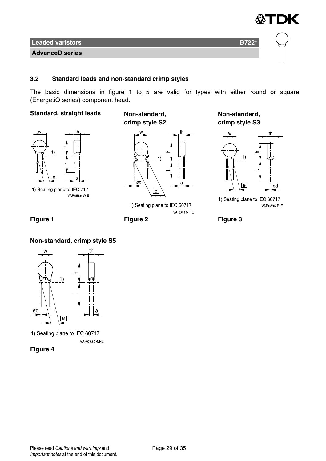

#### **3.2 Standard leads and non-standard crimp styles**

The basic dimensions in figure 1 to 5 are valid for types with either round or square (EnergetiQ series) component head.

#### **Standard, straight leads Non-standard,**



1) Seating plane to IEC 717 **VAR0586 W E** 

**crimp style S2**



1) Seating plane to IEC 60717 VAR0411 F E

**Non-standard, crimp style S3**



1) Seating plane to IEC 60717 VAR0396 R E



#### **Non-standard, crimp style S5**



1) Seating plane to IEC 60717 VAR0726 M-E

**Figure 4**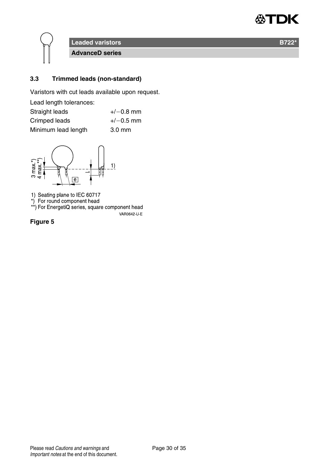

#### **3.3 Trimmed leads (non-standard)**

Varistors with cut leads available upon request.

| Lead length tolerances: |                  |
|-------------------------|------------------|
| Straight leads          | $+/-0.8$ mm      |
| Crimped leads           | $+/-0.5$ mm      |
| Minimum lead length     | $3.0 \text{ mm}$ |



1) Seating plane to IEC 60717<br>\*) For round component head<br>\*\*) For EnergetiQ series, square component head

VAR0642-U-E

**Figure 5**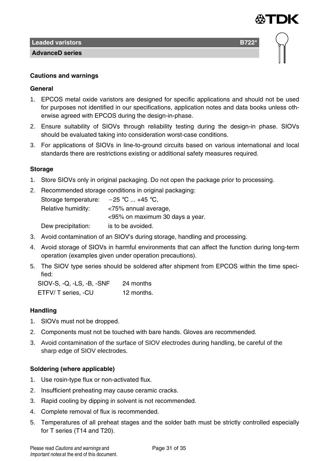

**AdvanceD series**

#### **Cautions and warnings**

#### **General**

- 1. EPCOS metal oxide varistors are designed for specific applications and should not be used for purposes not identified in our specifications, application notes and data books unless otherwise agreed with EPCOS during the design-in-phase.
- 2. Ensure suitability of SIOVs through reliability testing during the design-in phase. SIOVs should be evaluated taking into consideration worst-case conditions.
- 3. For applications of SIOVs in line-to-ground circuits based on various international and local standards there are restrictions existing or additional safety measures required.

#### **Storage**

- 1. Store SIOVs only in original packaging. Do not open the package prior to processing.
- 2. Recommended storage conditions in original packaging: Storage temperature:  $-25$  °C ... +45 °C, Relative humidity: <75% annual average, <95% on maximum 30 days a year. Dew precipitation: is to be avoided.
- 3. Avoid contamination of an SIOV's during storage, handling and processing.
- 4. Avoid storage of SIOVs in harmful environments that can affect the function during long-term operation (examples given under operation precautions).
- 5. The SIOV type series should be soldered after shipment from EPCOS within the time specified:

SIOV-S, -Q, -LS, -B, -SNF 24 months ETFV/ T series, -CU 12 months.

#### **Handling**

- 1. SIOVs must not be dropped.
- 2. Components must not be touched with bare hands. Gloves are recommended.
- 3. Avoid contamination of the surface of SIOV electrodes during handling, be careful of the sharp edge of SIOV electrodes.

#### **Soldering (where applicable)**

- 1. Use rosin-type flux or non-activated flux.
- 2. Insufficient preheating may cause ceramic cracks.
- 3. Rapid cooling by dipping in solvent is not recommended.
- 4. Complete removal of flux is recommended.
- 5. Temperatures of all preheat stages and the solder bath must be strictly controlled especially for T series (T14 and T20).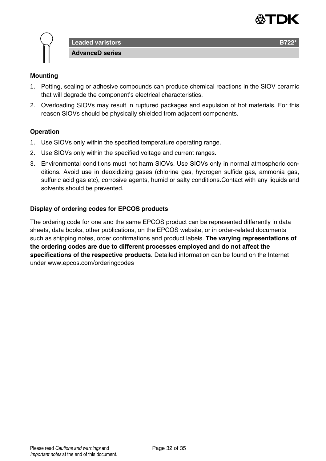



#### **Mounting**

- 1. Potting, sealing or adhesive compounds can produce chemical reactions in the SIOV ceramic that will degrade the component's electrical characteristics.
- 2. Overloading SIOVs may result in ruptured packages and expulsion of hot materials. For this reason SIOVs should be physically shielded from adjacent components.

#### **Operation**

- 1. Use SIOVs only within the specified temperature operating range.
- 2. Use SIOVs only within the specified voltage and current ranges.
- 3. Environmental conditions must not harm SIOVs. Use SIOVs only in normal atmospheric conditions. Avoid use in deoxidizing gases (chlorine gas, hydrogen sulfide gas, ammonia gas, sulfuric acid gas etc), corrosive agents, humid or salty conditions.Contact with any liquids and solvents should be prevented.

#### **Display of ordering codes for EPCOS products**

The ordering code for one and the same EPCOS product can be represented differently in data sheets, data books, other publications, on the EPCOS website, or in order-related documents such as shipping notes, order confirmations and product labels. **The varying representations of the ordering codes are due to different processes employed and do not affect the specifications of the respective products**. Detailed information can be found on the Internet under www.epcos.com/orderingcodes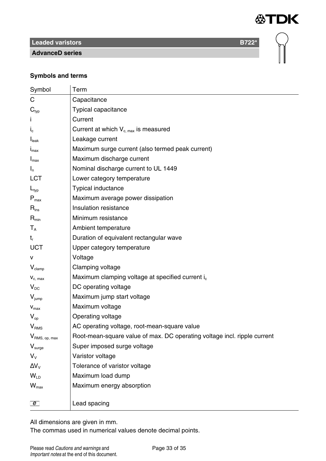

 $\bigcap$ 

# **Leaded varistors B722\***

**AdvanceD series**

#### **Symbols and terms**

| Symbol                        | Term                                                                     |
|-------------------------------|--------------------------------------------------------------------------|
| C                             | Capacitance                                                              |
| $\mathbf{C}_{\text{typ}}$     | Typical capacitance                                                      |
|                               | Current                                                                  |
| $I_c$                         | Current at which $V_{c, max}$ is measured                                |
| I <sub>leak</sub>             | Leakage current                                                          |
| $I_{\text{max}}$              | Maximum surge current (also termed peak current)                         |
| $I_{\text{max}}$              | Maximum discharge current                                                |
| $I_n$                         | Nominal discharge current to UL 1449                                     |
| LCT                           | Lower category temperature                                               |
| $L_{\text{typ}}$              | <b>Typical inductance</b>                                                |
| $P_{\text{max}}$              | Maximum average power dissipation                                        |
| $R_{ins}$                     | Insulation resistance                                                    |
| $R_{\text{min}}$              | Minimum resistance                                                       |
| $\mathsf{T}_\mathtt{A}$       | Ambient temperature                                                      |
| $t_{r}$                       | Duration of equivalent rectangular wave                                  |
| <b>UCT</b>                    | Upper category temperature                                               |
| v                             | Voltage                                                                  |
| $V_{\text{clamp}}$            | Clamping voltage                                                         |
| $V_{c. max}$                  | Maximum clamping voltage at specified current i <sub>c</sub>             |
| $V_{DC}$                      | DC operating voltage                                                     |
| $V_{\text{jump}}$             | Maximum jump start voltage                                               |
| $V_{max}$                     | Maximum voltage                                                          |
| $V_{\rm on}$                  | Operating voltage                                                        |
| V <sub>RMS</sub>              | AC operating voltage, root-mean-square value                             |
| V <sub>RMS, op, max</sub>     | Root-mean-square value of max. DC operating voltage incl. ripple current |
| $\mathsf{V}_{\mathsf{surge}}$ | Super imposed surge voltage                                              |
| $V_{\rm v}$                   | Varistor voltage                                                         |
| $\Delta V_{\rm V}$            | Tolerance of varistor voltage                                            |
| $W_{\text{ID}}$               | Maximum load dump                                                        |
| $\mathsf{W}_{\text{max}}$     | Maximum energy absorption                                                |
|                               |                                                                          |
| $\overline{e}$                | Lead spacing                                                             |

All dimensions are given in mm.

The commas used in numerical values denote decimal points.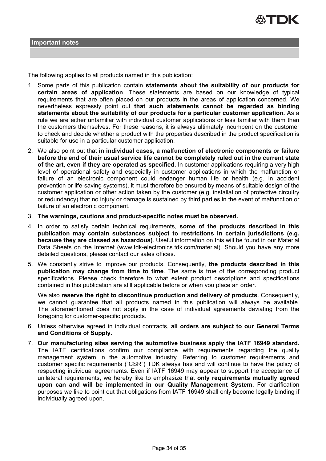

The following applies to all products named in this publication:

- 1. Some parts of this publication contain **statements about the suitability of our products for certain areas of application**. These statements are based on our knowledge of typical requirements that are often placed on our products in the areas of application concerned. We nevertheless expressly point out **that such statements cannot be regarded as binding statements about the suitability of our products for a particular customer application.** As a rule we are either unfamiliar with individual customer applications or less familiar with them than the customers themselves. For these reasons, it is always ultimately incumbent on the customer to check and decide whether a product with the properties described in the product specification is suitable for use in a particular customer application.
- 2. We also point out that **in individual cases, a malfunction of electronic components or failure before the end of their usual service life cannot be completely ruled out in the current state of the art, even if they are operated as specified.** In customer applications requiring a very high level of operational safety and especially in customer applications in which the malfunction or failure of an electronic component could endanger human life or health (e.g. in accident prevention or life-saving systems), it must therefore be ensured by means of suitable design of the customer application or other action taken by the customer (e.g. installation of protective circuitry or redundancy) that no injury or damage is sustained by third parties in the event of malfunction or failure of an electronic component.
- 3. **The warnings, cautions and product-specific notes must be observed.**
- 4. In order to satisfy certain technical requirements, **some of the products described in this publication may contain substances subject to restrictions in certain jurisdictions (e.g. because they are classed as hazardous)**. Useful information on this will be found in our Material Data Sheets on the Internet (www.tdk-electronics.tdk.com/material). Should you have any more detailed questions, please contact our sales offices.
- 5. We constantly strive to improve our products. Consequently, **the products described in this publication may change from time to time**. The same is true of the corresponding product specifications. Please check therefore to what extent product descriptions and specifications contained in this publication are still applicable before or when you place an order.

We also **reserve the right to discontinue production and delivery of products**. Consequently, we cannot guarantee that all products named in this publication will always be available. The aforementioned does not apply in the case of individual agreements deviating from the foregoing for customer-specific products.

- 6. Unless otherwise agreed in individual contracts, **all orders are subject to our General Terms and Conditions of Supply.**
- 7. **Our manufacturing sites serving the automotive business apply the IATF 16949 standard.** The IATF certifications confirm our compliance with requirements regarding the quality management system in the automotive industry. Referring to customer requirements and customer specific requirements ("CSR") TDK always has and will continue to have the policy of respecting individual agreements. Even if IATF 16949 may appear to support the acceptance of unilateral requirements, we hereby like to emphasize that **only requirements mutually agreed upon can and will be implemented in our Quality Management System.** For clarification purposes we like to point out that obligations from IATF 16949 shall only become legally binding if individually agreed upon.